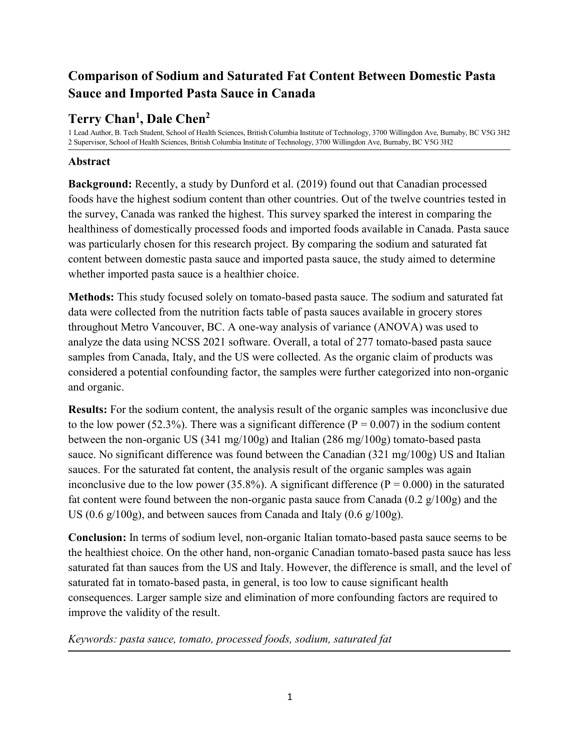# **Comparison of Sodium and Saturated Fat Content Between Domestic Pasta Sauce and Imported Pasta Sauce in Canada**

## **Terry Chan<sup>1</sup> , Dale Chen<sup>2</sup>**

1 Lead Author, B. Tech Student, School of Health Sciences, British Columbia Institute of Technology, 3700 Willingdon Ave, Burnaby, BC V5G 3H2 2 Supervisor, School of Health Sciences, British Columbia Institute of Technology, 3700 Willingdon Ave, Burnaby, BC V5G 3H2

## **Abstract**

**Background:** Recently, a study by Dunford et al. (2019) found out that Canadian processed foods have the highest sodium content than other countries. Out of the twelve countries tested in the survey, Canada was ranked the highest. This survey sparked the interest in comparing the healthiness of domestically processed foods and imported foods available in Canada. Pasta sauce was particularly chosen for this research project. By comparing the sodium and saturated fat content between domestic pasta sauce and imported pasta sauce, the study aimed to determine whether imported pasta sauce is a healthier choice.

**Methods:** This study focused solely on tomato-based pasta sauce. The sodium and saturated fat data were collected from the nutrition facts table of pasta sauces available in grocery stores throughout Metro Vancouver, BC. A one-way analysis of variance (ANOVA) was used to analyze the data using NCSS 2021 software. Overall, a total of 277 tomato-based pasta sauce samples from Canada, Italy, and the US were collected. As the organic claim of products was considered a potential confounding factor, the samples were further categorized into non-organic and organic.

**Results:** For the sodium content, the analysis result of the organic samples was inconclusive due to the low power (52.3%). There was a significant difference ( $P = 0.007$ ) in the sodium content between the non-organic US (341 mg/100g) and Italian (286 mg/100g) tomato-based pasta sauce. No significant difference was found between the Canadian (321 mg/100g) US and Italian sauces. For the saturated fat content, the analysis result of the organic samples was again inconclusive due to the low power (35.8%). A significant difference ( $P = 0.000$ ) in the saturated fat content were found between the non-organic pasta sauce from Canada  $(0.2 \text{ g}/100 \text{ g})$  and the US (0.6  $g/100g$ ), and between sauces from Canada and Italy (0.6  $g/100g$ ).

**Conclusion:** In terms of sodium level, non-organic Italian tomato-based pasta sauce seems to be the healthiest choice. On the other hand, non-organic Canadian tomato-based pasta sauce has less saturated fat than sauces from the US and Italy. However, the difference is small, and the level of saturated fat in tomato-based pasta, in general, is too low to cause significant health consequences. Larger sample size and elimination of more confounding factors are required to improve the validity of the result.

*Keywords: pasta sauce, tomato, processed foods, sodium, saturated fat*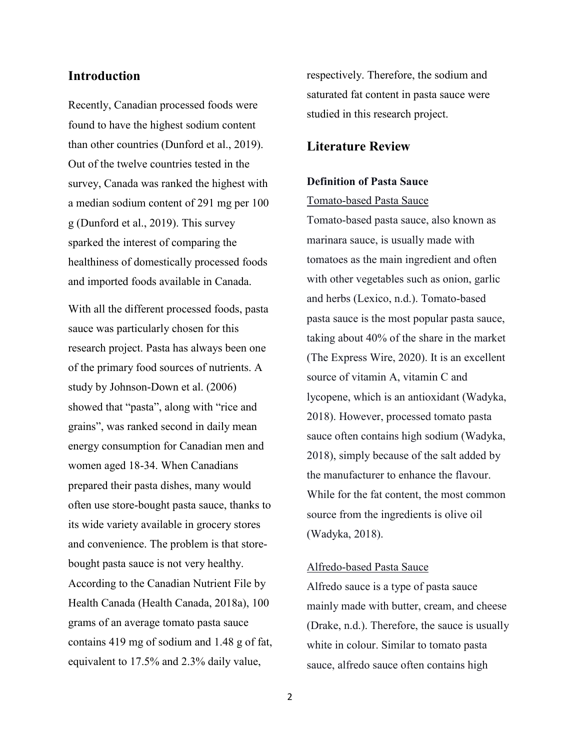## **Introduction**

Recently, Canadian processed foods were found to have the highest sodium content than other countries (Dunford et al., 2019). Out of the twelve countries tested in the survey, Canada was ranked the highest with a median sodium content of 291 mg per 100 g (Dunford et al., 2019). This survey sparked the interest of comparing the healthiness of domestically processed foods and imported foods available in Canada.

With all the different processed foods, pasta sauce was particularly chosen for this research project. Pasta has always been one of the primary food sources of nutrients. A study by Johnson-Down et al. (2006) showed that "pasta", along with "rice and grains", was ranked second in daily mean energy consumption for Canadian men and women aged 18-34. When Canadians prepared their pasta dishes, many would often use store-bought pasta sauce, thanks to its wide variety available in grocery stores and convenience. The problem is that storebought pasta sauce is not very healthy. According to the Canadian Nutrient File by Health Canada (Health Canada, 2018a), 100 grams of an average tomato pasta sauce contains 419 mg of sodium and 1.48 g of fat, equivalent to 17.5% and 2.3% daily value,

respectively. Therefore, the sodium and saturated fat content in pasta sauce were studied in this research project.

## **Literature Review**

#### **Definition of Pasta Sauce**

## Tomato-based Pasta Sauce

Tomato-based pasta sauce, also known as marinara sauce, is usually made with tomatoes as the main ingredient and often with other vegetables such as onion, garlic and herbs (Lexico, n.d.). Tomato-based pasta sauce is the most popular pasta sauce, taking about 40% of the share in the market (The Express Wire, 2020). It is an excellent source of vitamin A, vitamin C and lycopene, which is an antioxidant (Wadyka, 2018). However, processed tomato pasta sauce often contains high sodium (Wadyka, 2018), simply because of the salt added by the manufacturer to enhance the flavour. While for the fat content, the most common source from the ingredients is olive oil (Wadyka, 2018).

#### Alfredo-based Pasta Sauce

Alfredo sauce is a type of pasta sauce mainly made with butter, cream, and cheese (Drake, n.d.). Therefore, the sauce is usually white in colour. Similar to tomato pasta sauce, alfredo sauce often contains high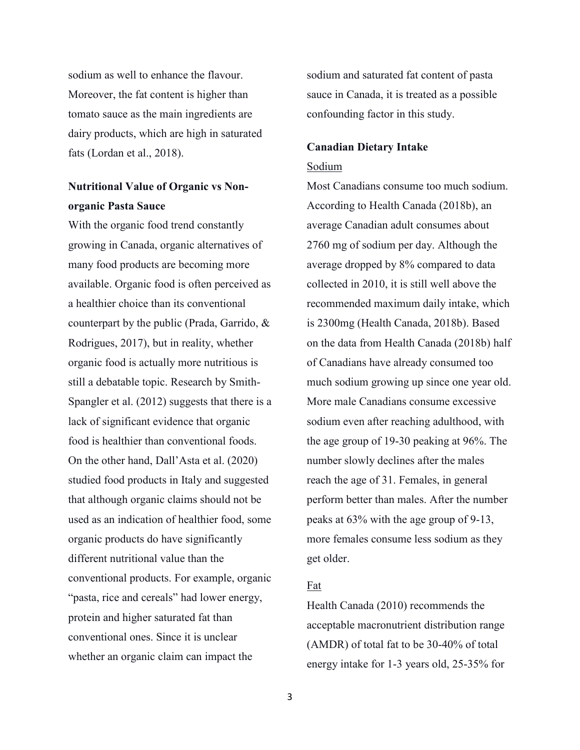sodium as well to enhance the flavour. Moreover, the fat content is higher than tomato sauce as the main ingredients are dairy products, which are high in saturated fats (Lordan et al., 2018).

## **Nutritional Value of Organic vs Nonorganic Pasta Sauce**

With the organic food trend constantly growing in Canada, organic alternatives of many food products are becoming more available. Organic food is often perceived as a healthier choice than its conventional counterpart by the public (Prada, Garrido, & Rodrigues, 2017), but in reality, whether organic food is actually more nutritious is still a debatable topic. Research by Smith-Spangler et al. (2012) suggests that there is a lack of significant evidence that organic food is healthier than conventional foods. On the other hand, Dall'Asta et al. (2020) studied food products in Italy and suggested that although organic claims should not be used as an indication of healthier food, some organic products do have significantly different nutritional value than the conventional products. For example, organic "pasta, rice and cereals" had lower energy, protein and higher saturated fat than conventional ones. Since it is unclear whether an organic claim can impact the

sodium and saturated fat content of pasta sauce in Canada, it is treated as a possible confounding factor in this study.

# **Canadian Dietary Intake**

## Sodium

Most Canadians consume too much sodium. According to Health Canada (2018b), an average Canadian adult consumes about 2760 mg of sodium per day. Although the average dropped by 8% compared to data collected in 2010, it is still well above the recommended maximum daily intake, which is 2300mg (Health Canada, 2018b). Based on the data from Health Canada (2018b) half of Canadians have already consumed too much sodium growing up since one year old. More male Canadians consume excessive sodium even after reaching adulthood, with the age group of 19-30 peaking at 96%. The number slowly declines after the males reach the age of 31. Females, in general perform better than males. After the number peaks at 63% with the age group of 9-13, more females consume less sodium as they get older.

## Fat

Health Canada (2010) recommends the acceptable macronutrient distribution range (AMDR) of total fat to be 30-40% of total energy intake for 1-3 years old, 25-35% for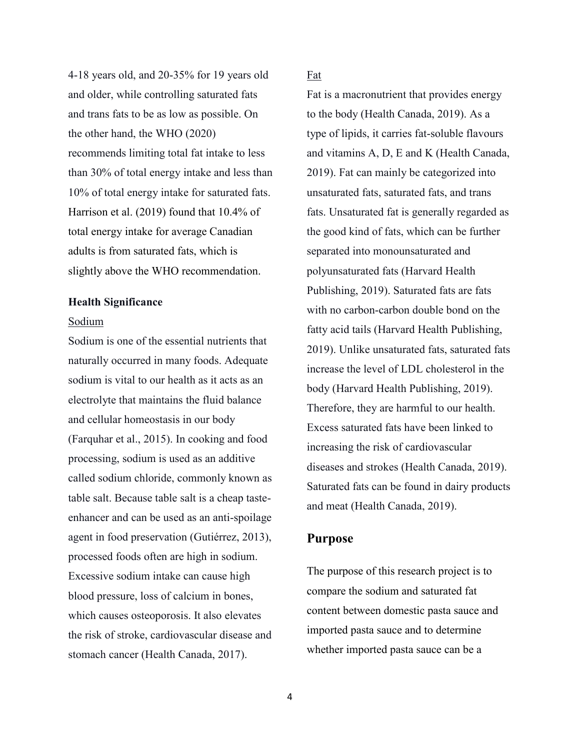4-18 years old, and 20-35% for 19 years old and older, while controlling saturated fats and trans fats to be as low as possible. On the other hand, the WHO (2020) recommends limiting total fat intake to less than 30% of total energy intake and less than 10% of total energy intake for saturated fats. Harrison et al. (2019) found that 10.4% of total energy intake for average Canadian adults is from saturated fats, which is slightly above the WHO recommendation.

#### **Health Significance**

#### Sodium

Sodium is one of the essential nutrients that naturally occurred in many foods. Adequate sodium is vital to our health as it acts as an electrolyte that maintains the fluid balance and cellular homeostasis in our body (Farquhar et al., 2015). In cooking and food processing, sodium is used as an additive called sodium chloride, commonly known as table salt. Because table salt is a cheap tasteenhancer and can be used as an anti-spoilage agent in food preservation (Gutiérrez, 2013), processed foods often are high in sodium. Excessive sodium intake can cause high blood pressure, loss of calcium in bones, which causes osteoporosis. It also elevates the risk of stroke, cardiovascular disease and stomach cancer (Health Canada, 2017).

## Fat

Fat is a macronutrient that provides energy to the body (Health Canada, 2019). As a type of lipids, it carries fat-soluble flavours and vitamins A, D, E and K (Health Canada, 2019). Fat can mainly be categorized into unsaturated fats, saturated fats, and trans fats. Unsaturated fat is generally regarded as the good kind of fats, which can be further separated into monounsaturated and polyunsaturated fats (Harvard Health Publishing, 2019). Saturated fats are fats with no carbon-carbon double bond on the fatty acid tails (Harvard Health Publishing, 2019). Unlike unsaturated fats, saturated fats increase the level of LDL cholesterol in the body (Harvard Health Publishing, 2019). Therefore, they are harmful to our health. Excess saturated fats have been linked to increasing the risk of cardiovascular diseases and strokes (Health Canada, 2019). Saturated fats can be found in dairy products and meat (Health Canada, 2019).

## **Purpose**

The purpose of this research project is to compare the sodium and saturated fat content between domestic pasta sauce and imported pasta sauce and to determine whether imported pasta sauce can be a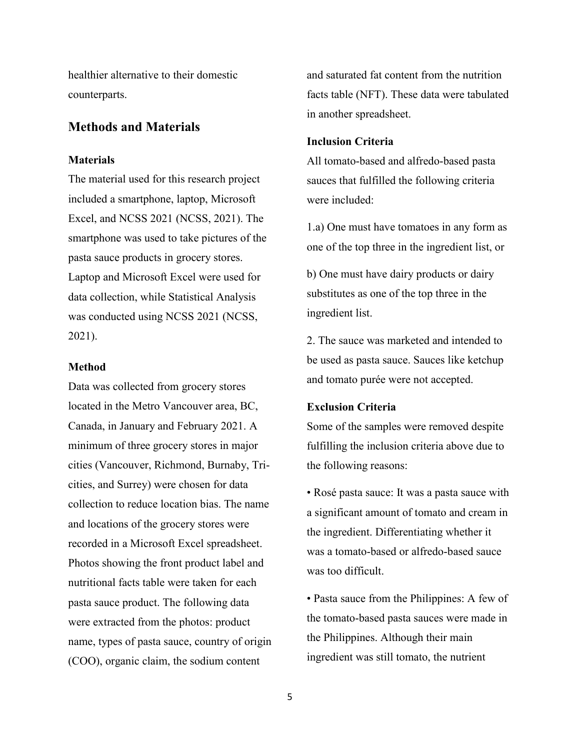healthier alternative to their domestic counterparts.

## **Methods and Materials**

#### **Materials**

The material used for this research project included a smartphone, laptop, Microsoft Excel, and NCSS 2021 (NCSS, 2021). The smartphone was used to take pictures of the pasta sauce products in grocery stores. Laptop and Microsoft Excel were used for data collection, while Statistical Analysis was conducted using NCSS 2021 (NCSS, 2021).

#### **Method**

Data was collected from grocery stores located in the Metro Vancouver area, BC, Canada, in January and February 2021. A minimum of three grocery stores in major cities (Vancouver, Richmond, Burnaby, Tricities, and Surrey) were chosen for data collection to reduce location bias. The name and locations of the grocery stores were recorded in a Microsoft Excel spreadsheet. Photos showing the front product label and nutritional facts table were taken for each pasta sauce product. The following data were extracted from the photos: product name, types of pasta sauce, country of origin (COO), organic claim, the sodium content

and saturated fat content from the nutrition facts table (NFT). These data were tabulated in another spreadsheet.

#### **Inclusion Criteria**

All tomato-based and alfredo-based pasta sauces that fulfilled the following criteria were included:

1.a) One must have tomatoes in any form as one of the top three in the ingredient list, or

b) One must have dairy products or dairy substitutes as one of the top three in the ingredient list.

2. The sauce was marketed and intended to be used as pasta sauce. Sauces like ketchup and tomato purée were not accepted.

#### **Exclusion Criteria**

Some of the samples were removed despite fulfilling the inclusion criteria above due to the following reasons:

• Rosé pasta sauce: It was a pasta sauce with a significant amount of tomato and cream in the ingredient. Differentiating whether it was a tomato-based or alfredo-based sauce was too difficult.

• Pasta sauce from the Philippines: A few of the tomato-based pasta sauces were made in the Philippines. Although their main ingredient was still tomato, the nutrient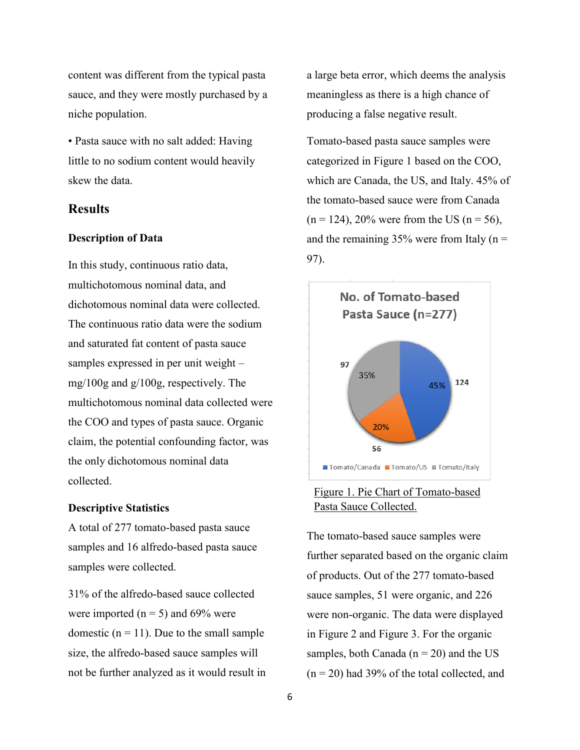content was different from the typical pasta sauce, and they were mostly purchased by a niche population.

• Pasta sauce with no salt added: Having little to no sodium content would heavily skew the data.

## **Results**

#### **Description of Data**

In this study, continuous ratio data, multichotomous nominal data, and dichotomous nominal data were collected. The continuous ratio data were the sodium and saturated fat content of pasta sauce samples expressed in per unit weight – mg/100g and g/100g, respectively. The multichotomous nominal data collected were the COO and types of pasta sauce. Organic claim, the potential confounding factor, was the only dichotomous nominal data collected.

#### **Descriptive Statistics**

A total of 277 tomato-based pasta sauce samples and 16 alfredo-based pasta sauce samples were collected.

31% of the alfredo-based sauce collected were imported ( $n = 5$ ) and 69% were domestic  $(n = 11)$ . Due to the small sample size, the alfredo-based sauce samples will not be further analyzed as it would result in a large beta error, which deems the analysis meaningless as there is a high chance of producing a false negative result.

Tomato-based pasta sauce samples were categorized in Figure 1 based on the COO, which are Canada, the US, and Italy. 45% of the tomato-based sauce were from Canada  $(n = 124)$ , 20% were from the US  $(n = 56)$ , and the remaining  $35%$  were from Italy (n = 97).



## Figure 1. Pie Chart of Tomato-based Pasta Sauce Collected.

The tomato-based sauce samples were further separated based on the organic claim of products. Out of the 277 tomato-based sauce samples, 51 were organic, and 226 were non-organic. The data were displayed in Figure 2 and Figure 3. For the organic samples, both Canada ( $n = 20$ ) and the US  $(n = 20)$  had 39% of the total collected, and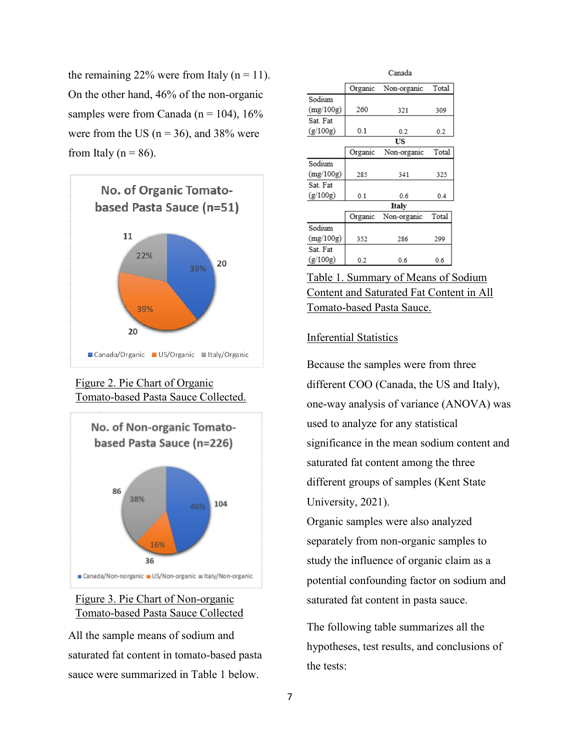the remaining 22% were from Italy ( $n = 11$ ). On the other hand, 46% of the non-organic samples were from Canada ( $n = 104$ ), 16% were from the US ( $n = 36$ ), and 38% were from Italy ( $n = 86$ ).







## Figure 3. Pie Chart of Non-organic Tomato-based Pasta Sauce Collected

All the sample means of sodium and saturated fat content in tomato-based pasta .sauce were summarized in Table 1 below.

|           |         | Canada      |       |
|-----------|---------|-------------|-------|
|           | Organic | Non-organic | Total |
| Sodium    |         |             |       |
| (mg/100g) | 260     | 321         | 309   |
| Sat. Fat  |         |             |       |
| (g/100g)  | 0.1     | 0.2         | 0.2   |
|           |         | US          |       |
|           | Organic | Non-organic | Total |
| Sodium    |         |             |       |
| (mg/100g) | 285     | 341         | 325   |
| Sat. Fat  |         |             |       |
| (g/100g)  | 0.1     | 0.6         | 0.4   |
|           |         | Italy       |       |
|           | Organic | Non-organic | Total |
| Sodium    |         |             |       |
| (mg/100g) | 352     | 286         | 299   |
| Sat. Fat  |         |             |       |
| (g/100g)  | 0.2     | 0.6         | 0.6   |

Table 1. Summary of Means of Sodium Content and Saturated Fat Content in All Tomato-based Pasta Sauce.

#### Inferential Statistics

Because the samples were from three different COO (Canada, the US and Italy), one-way analysis of variance (ANOVA) was used to analyze for any statistical significance in the mean sodium content and saturated fat content among the three different groups of samples (Kent State University, 2021).

Organic samples were also analyzed separately from non-organic samples to study the influence of organic claim as a potential confounding factor on sodium and saturated fat content in pasta sauce.

The following table summarizes all the hypotheses, test results, and conclusions of the tests: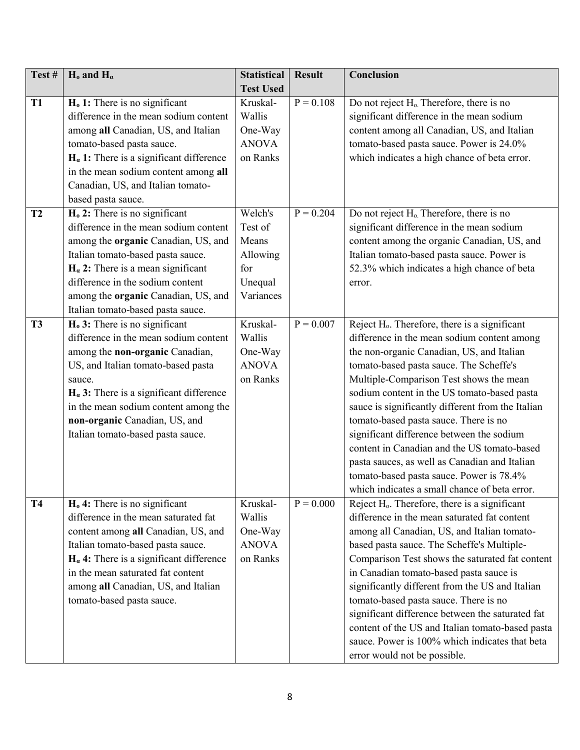| Test#     | $H_0$ and $H_\alpha$                                                                                                                                                                                                                                                                                                        | <b>Statistical</b>                                        | <b>Result</b> | Conclusion                                                                                                                                                                                                                                                                                                                                                                                                                                                                                                                                                                                                                                                                                                                               |
|-----------|-----------------------------------------------------------------------------------------------------------------------------------------------------------------------------------------------------------------------------------------------------------------------------------------------------------------------------|-----------------------------------------------------------|---------------|------------------------------------------------------------------------------------------------------------------------------------------------------------------------------------------------------------------------------------------------------------------------------------------------------------------------------------------------------------------------------------------------------------------------------------------------------------------------------------------------------------------------------------------------------------------------------------------------------------------------------------------------------------------------------------------------------------------------------------------|
|           |                                                                                                                                                                                                                                                                                                                             | <b>Test Used</b>                                          |               |                                                                                                                                                                                                                                                                                                                                                                                                                                                                                                                                                                                                                                                                                                                                          |
| <b>T1</b> | $Ho$ 1: There is no significant                                                                                                                                                                                                                                                                                             | Kruskal-                                                  | $P = 0.108$   | Do not reject H <sub>0</sub> . Therefore, there is no                                                                                                                                                                                                                                                                                                                                                                                                                                                                                                                                                                                                                                                                                    |
|           | difference in the mean sodium content                                                                                                                                                                                                                                                                                       | Wallis                                                    |               | significant difference in the mean sodium                                                                                                                                                                                                                                                                                                                                                                                                                                                                                                                                                                                                                                                                                                |
|           | among all Canadian, US, and Italian                                                                                                                                                                                                                                                                                         | One-Way                                                   |               | content among all Canadian, US, and Italian                                                                                                                                                                                                                                                                                                                                                                                                                                                                                                                                                                                                                                                                                              |
|           | tomato-based pasta sauce.                                                                                                                                                                                                                                                                                                   | <b>ANOVA</b>                                              |               | tomato-based pasta sauce. Power is 24.0%                                                                                                                                                                                                                                                                                                                                                                                                                                                                                                                                                                                                                                                                                                 |
|           | $H_{\alpha}$ 1: There is a significant difference                                                                                                                                                                                                                                                                           | on Ranks                                                  |               | which indicates a high chance of beta error.                                                                                                                                                                                                                                                                                                                                                                                                                                                                                                                                                                                                                                                                                             |
|           | in the mean sodium content among all                                                                                                                                                                                                                                                                                        |                                                           |               |                                                                                                                                                                                                                                                                                                                                                                                                                                                                                                                                                                                                                                                                                                                                          |
|           | Canadian, US, and Italian tomato-                                                                                                                                                                                                                                                                                           |                                                           |               |                                                                                                                                                                                                                                                                                                                                                                                                                                                                                                                                                                                                                                                                                                                                          |
|           | based pasta sauce.                                                                                                                                                                                                                                                                                                          |                                                           |               |                                                                                                                                                                                                                                                                                                                                                                                                                                                                                                                                                                                                                                                                                                                                          |
| T2        | H <sub>0</sub> 2: There is no significant                                                                                                                                                                                                                                                                                   | Welch's                                                   | $P = 0.204$   | Do not reject H <sub>o</sub> . Therefore, there is no                                                                                                                                                                                                                                                                                                                                                                                                                                                                                                                                                                                                                                                                                    |
|           | difference in the mean sodium content                                                                                                                                                                                                                                                                                       | Test of                                                   |               | significant difference in the mean sodium                                                                                                                                                                                                                                                                                                                                                                                                                                                                                                                                                                                                                                                                                                |
|           | among the organic Canadian, US, and                                                                                                                                                                                                                                                                                         | Means                                                     |               | content among the organic Canadian, US, and                                                                                                                                                                                                                                                                                                                                                                                                                                                                                                                                                                                                                                                                                              |
|           | Italian tomato-based pasta sauce.                                                                                                                                                                                                                                                                                           | Allowing                                                  |               | Italian tomato-based pasta sauce. Power is                                                                                                                                                                                                                                                                                                                                                                                                                                                                                                                                                                                                                                                                                               |
|           | $H_{\alpha}$ 2: There is a mean significant                                                                                                                                                                                                                                                                                 | for                                                       |               | 52.3% which indicates a high chance of beta                                                                                                                                                                                                                                                                                                                                                                                                                                                                                                                                                                                                                                                                                              |
|           | difference in the sodium content                                                                                                                                                                                                                                                                                            | Unequal                                                   |               | error.                                                                                                                                                                                                                                                                                                                                                                                                                                                                                                                                                                                                                                                                                                                                   |
|           | among the organic Canadian, US, and                                                                                                                                                                                                                                                                                         | Variances                                                 |               |                                                                                                                                                                                                                                                                                                                                                                                                                                                                                                                                                                                                                                                                                                                                          |
|           | Italian tomato-based pasta sauce.                                                                                                                                                                                                                                                                                           |                                                           |               |                                                                                                                                                                                                                                                                                                                                                                                                                                                                                                                                                                                                                                                                                                                                          |
| <b>T3</b> | $H0$ 3: There is no significant                                                                                                                                                                                                                                                                                             | Kruskal-                                                  | $P = 0.007$   | Reject H <sub>o</sub> . Therefore, there is a significant                                                                                                                                                                                                                                                                                                                                                                                                                                                                                                                                                                                                                                                                                |
|           | difference in the mean sodium content                                                                                                                                                                                                                                                                                       | Wallis                                                    |               | difference in the mean sodium content among                                                                                                                                                                                                                                                                                                                                                                                                                                                                                                                                                                                                                                                                                              |
|           | among the non-organic Canadian,                                                                                                                                                                                                                                                                                             | One-Way                                                   |               | the non-organic Canadian, US, and Italian                                                                                                                                                                                                                                                                                                                                                                                                                                                                                                                                                                                                                                                                                                |
|           | US, and Italian tomato-based pasta                                                                                                                                                                                                                                                                                          | <b>ANOVA</b>                                              |               | tomato-based pasta sauce. The Scheffe's                                                                                                                                                                                                                                                                                                                                                                                                                                                                                                                                                                                                                                                                                                  |
|           | sauce.                                                                                                                                                                                                                                                                                                                      | on Ranks                                                  |               | Multiple-Comparison Test shows the mean                                                                                                                                                                                                                                                                                                                                                                                                                                                                                                                                                                                                                                                                                                  |
|           | $H_{\alpha}$ 3: There is a significant difference                                                                                                                                                                                                                                                                           |                                                           |               | sodium content in the US tomato-based pasta                                                                                                                                                                                                                                                                                                                                                                                                                                                                                                                                                                                                                                                                                              |
|           | in the mean sodium content among the                                                                                                                                                                                                                                                                                        |                                                           |               | sauce is significantly different from the Italian                                                                                                                                                                                                                                                                                                                                                                                                                                                                                                                                                                                                                                                                                        |
|           | non-organic Canadian, US, and                                                                                                                                                                                                                                                                                               |                                                           |               | tomato-based pasta sauce. There is no                                                                                                                                                                                                                                                                                                                                                                                                                                                                                                                                                                                                                                                                                                    |
|           | Italian tomato-based pasta sauce.                                                                                                                                                                                                                                                                                           |                                                           |               | significant difference between the sodium                                                                                                                                                                                                                                                                                                                                                                                                                                                                                                                                                                                                                                                                                                |
|           |                                                                                                                                                                                                                                                                                                                             |                                                           |               | content in Canadian and the US tomato-based                                                                                                                                                                                                                                                                                                                                                                                                                                                                                                                                                                                                                                                                                              |
|           |                                                                                                                                                                                                                                                                                                                             |                                                           |               |                                                                                                                                                                                                                                                                                                                                                                                                                                                                                                                                                                                                                                                                                                                                          |
|           |                                                                                                                                                                                                                                                                                                                             |                                                           |               |                                                                                                                                                                                                                                                                                                                                                                                                                                                                                                                                                                                                                                                                                                                                          |
|           |                                                                                                                                                                                                                                                                                                                             |                                                           |               |                                                                                                                                                                                                                                                                                                                                                                                                                                                                                                                                                                                                                                                                                                                                          |
|           |                                                                                                                                                                                                                                                                                                                             |                                                           |               |                                                                                                                                                                                                                                                                                                                                                                                                                                                                                                                                                                                                                                                                                                                                          |
|           |                                                                                                                                                                                                                                                                                                                             |                                                           |               |                                                                                                                                                                                                                                                                                                                                                                                                                                                                                                                                                                                                                                                                                                                                          |
|           |                                                                                                                                                                                                                                                                                                                             |                                                           |               |                                                                                                                                                                                                                                                                                                                                                                                                                                                                                                                                                                                                                                                                                                                                          |
|           |                                                                                                                                                                                                                                                                                                                             |                                                           |               |                                                                                                                                                                                                                                                                                                                                                                                                                                                                                                                                                                                                                                                                                                                                          |
|           |                                                                                                                                                                                                                                                                                                                             |                                                           |               |                                                                                                                                                                                                                                                                                                                                                                                                                                                                                                                                                                                                                                                                                                                                          |
|           |                                                                                                                                                                                                                                                                                                                             |                                                           |               |                                                                                                                                                                                                                                                                                                                                                                                                                                                                                                                                                                                                                                                                                                                                          |
|           |                                                                                                                                                                                                                                                                                                                             |                                                           |               |                                                                                                                                                                                                                                                                                                                                                                                                                                                                                                                                                                                                                                                                                                                                          |
|           |                                                                                                                                                                                                                                                                                                                             |                                                           |               |                                                                                                                                                                                                                                                                                                                                                                                                                                                                                                                                                                                                                                                                                                                                          |
|           |                                                                                                                                                                                                                                                                                                                             |                                                           |               |                                                                                                                                                                                                                                                                                                                                                                                                                                                                                                                                                                                                                                                                                                                                          |
|           |                                                                                                                                                                                                                                                                                                                             |                                                           |               |                                                                                                                                                                                                                                                                                                                                                                                                                                                                                                                                                                                                                                                                                                                                          |
|           |                                                                                                                                                                                                                                                                                                                             |                                                           |               |                                                                                                                                                                                                                                                                                                                                                                                                                                                                                                                                                                                                                                                                                                                                          |
| <b>T4</b> | H <sub>0</sub> 4: There is no significant<br>difference in the mean saturated fat<br>content among all Canadian, US, and<br>Italian tomato-based pasta sauce.<br>$H_{\alpha}$ 4: There is a significant difference<br>in the mean saturated fat content<br>among all Canadian, US, and Italian<br>tomato-based pasta sauce. | Kruskal-<br>Wallis<br>One-Way<br><b>ANOVA</b><br>on Ranks | $P = 0.000$   | pasta sauces, as well as Canadian and Italian<br>tomato-based pasta sauce. Power is 78.4%<br>which indicates a small chance of beta error.<br>Reject H <sub>o</sub> . Therefore, there is a significant<br>difference in the mean saturated fat content<br>among all Canadian, US, and Italian tomato-<br>based pasta sauce. The Scheffe's Multiple-<br>Comparison Test shows the saturated fat content<br>in Canadian tomato-based pasta sauce is<br>significantly different from the US and Italian<br>tomato-based pasta sauce. There is no<br>significant difference between the saturated fat<br>content of the US and Italian tomato-based pasta<br>sauce. Power is 100% which indicates that beta<br>error would not be possible. |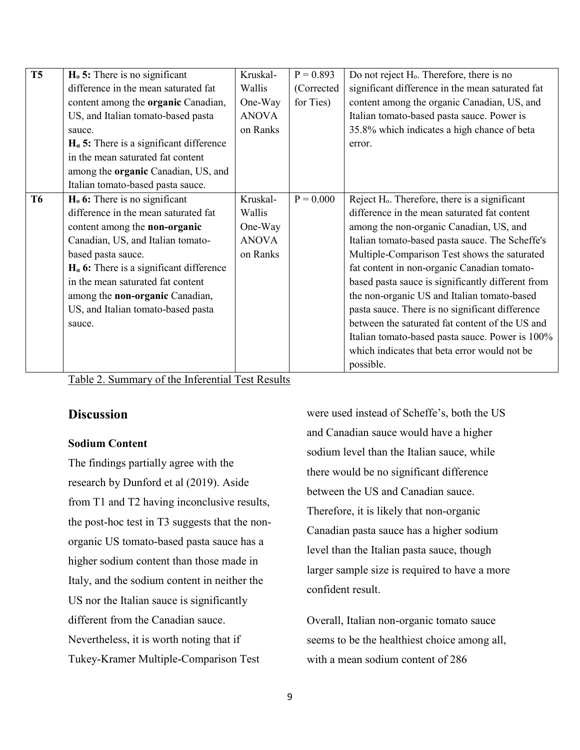| $\overline{\text{T5}}$ | $H0$ 5: There is no significant                   | Kruskal-     | $P = 0.893$ | Do not reject H <sub>0</sub> . Therefore, there is no     |
|------------------------|---------------------------------------------------|--------------|-------------|-----------------------------------------------------------|
|                        | difference in the mean saturated fat              | Wallis       | (Corrected  | significant difference in the mean saturated fat          |
|                        | content among the organic Canadian,               | One-Way      | for Ties)   | content among the organic Canadian, US, and               |
|                        | US, and Italian tomato-based pasta                | <b>ANOVA</b> |             | Italian tomato-based pasta sauce. Power is                |
|                        | sauce.                                            | on Ranks     |             | 35.8% which indicates a high chance of beta               |
|                        | $H_{\alpha}$ 5: There is a significant difference |              |             | error.                                                    |
|                        | in the mean saturated fat content                 |              |             |                                                           |
|                        | among the <b>organic</b> Canadian, US, and        |              |             |                                                           |
|                        | Italian tomato-based pasta sauce.                 |              |             |                                                           |
| <b>T6</b>              | $H0$ 6: There is no significant                   | Kruskal-     | $P = 0.000$ | Reject H <sub>0</sub> . Therefore, there is a significant |
|                        | difference in the mean saturated fat              | Wallis       |             | difference in the mean saturated fat content              |
|                        | content among the non-organic                     | One-Way      |             | among the non-organic Canadian, US, and                   |
|                        | Canadian, US, and Italian tomato-                 | <b>ANOVA</b> |             | Italian tomato-based pasta sauce. The Scheffe's           |
|                        | based pasta sauce.                                | on Ranks     |             | Multiple-Comparison Test shows the saturated              |
|                        | $H_{\alpha}$ 6: There is a significant difference |              |             | fat content in non-organic Canadian tomato-               |
|                        | in the mean saturated fat content                 |              |             | based pasta sauce is significantly different from         |
|                        | among the non-organic Canadian,                   |              |             | the non-organic US and Italian tomato-based               |
|                        | US, and Italian tomato-based pasta                |              |             | pasta sauce. There is no significant difference           |
|                        | sauce.                                            |              |             | between the saturated fat content of the US and           |
|                        |                                                   |              |             | Italian tomato-based pasta sauce. Power is 100%           |
|                        |                                                   |              |             | which indicates that beta error would not be              |
|                        |                                                   |              |             | possible.                                                 |

|--|

## **Discussion**

## **Sodium Content**

The findings partially agree with the research by Dunford et al (2019). Aside from T1 and T2 having inconclusive results, the post-hoc test in T3 suggests that the nonorganic US tomato-based pasta sauce has a higher sodium content than those made in Italy, and the sodium content in neither the US nor the Italian sauce is significantly different from the Canadian sauce. Nevertheless, it is worth noting that if Tukey-Kramer Multiple-Comparison Test

were used instead of Scheffe's, both the US and Canadian sauce would have a higher sodium level than the Italian sauce, while there would be no significant difference between the US and Canadian sauce. Therefore, it is likely that non-organic Canadian pasta sauce has a higher sodium level than the Italian pasta sauce, though larger sample size is required to have a more confident result.

Overall, Italian non-organic tomato sauce seems to be the healthiest choice among all, with a mean sodium content of 286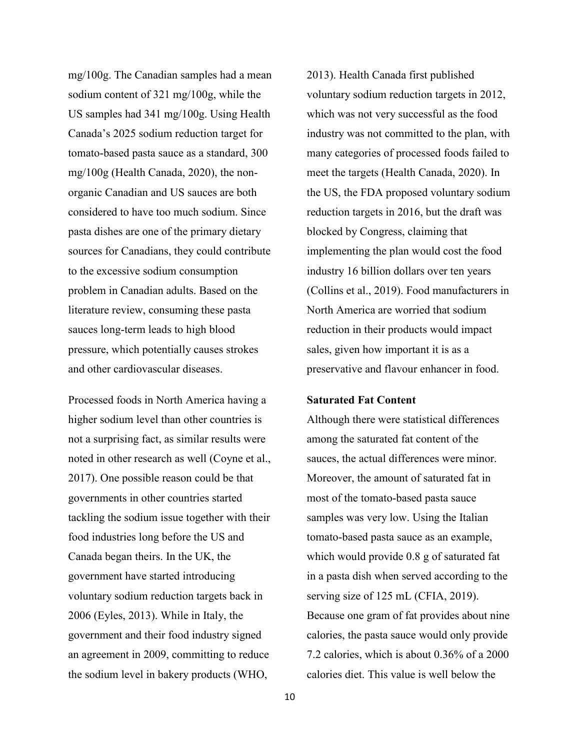mg/100g. The Canadian samples had a mean sodium content of 321 mg/100g, while the US samples had 341 mg/100g. Using Health Canada's 2025 sodium reduction target for tomato-based pasta sauce as a standard, 300 mg/100g (Health Canada, 2020), the nonorganic Canadian and US sauces are both considered to have too much sodium. Since pasta dishes are one of the primary dietary sources for Canadians, they could contribute to the excessive sodium consumption problem in Canadian adults. Based on the literature review, consuming these pasta sauces long-term leads to high blood pressure, which potentially causes strokes and other cardiovascular diseases.

Processed foods in North America having a higher sodium level than other countries is not a surprising fact, as similar results were noted in other research as well (Coyne et al., 2017). One possible reason could be that governments in other countries started tackling the sodium issue together with their food industries long before the US and Canada began theirs. In the UK, the government have started introducing voluntary sodium reduction targets back in 2006 (Eyles, 2013). While in Italy, the government and their food industry signed an agreement in 2009, committing to reduce the sodium level in bakery products (WHO,

2013). Health Canada first published voluntary sodium reduction targets in 2012, which was not very successful as the food industry was not committed to the plan, with many categories of processed foods failed to meet the targets (Health Canada, 2020). In the US, the FDA proposed voluntary sodium reduction targets in 2016, but the draft was blocked by Congress, claiming that implementing the plan would cost the food industry 16 billion dollars over ten years (Collins et al., 2019). Food manufacturers in North America are worried that sodium reduction in their products would impact sales, given how important it is as a preservative and flavour enhancer in food.

#### **Saturated Fat Content**

Although there were statistical differences among the saturated fat content of the sauces, the actual differences were minor. Moreover, the amount of saturated fat in most of the tomato-based pasta sauce samples was very low. Using the Italian tomato-based pasta sauce as an example, which would provide 0.8 g of saturated fat in a pasta dish when served according to the serving size of 125 mL (CFIA, 2019). Because one gram of fat provides about nine calories, the pasta sauce would only provide 7.2 calories, which is about 0.36% of a 2000 calories diet. This value is well below the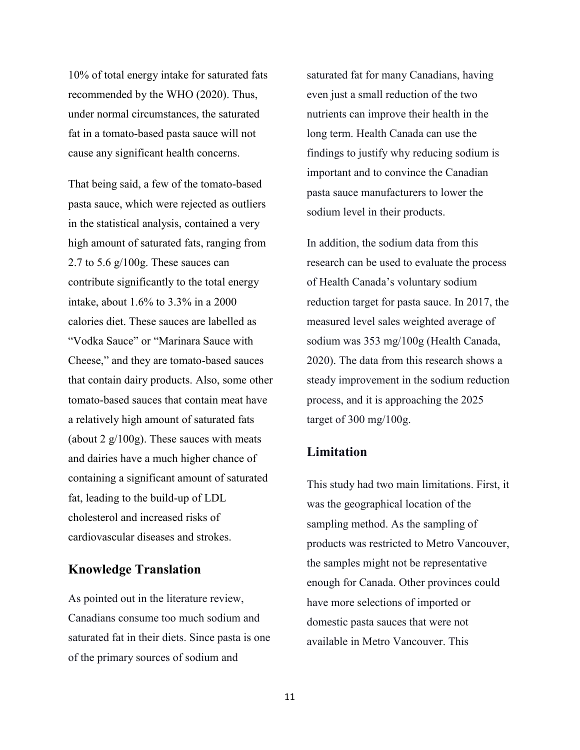10% of total energy intake for saturated fats recommended by the WHO (2020). Thus, under normal circumstances, the saturated fat in a tomato-based pasta sauce will not cause any significant health concerns.

That being said, a few of the tomato-based pasta sauce, which were rejected as outliers in the statistical analysis, contained a very high amount of saturated fats, ranging from 2.7 to 5.6 g/100g. These sauces can contribute significantly to the total energy intake, about 1.6% to 3.3% in a 2000 calories diet. These sauces are labelled as "Vodka Sauce" or "Marinara Sauce with Cheese," and they are tomato-based sauces that contain dairy products. Also, some other tomato-based sauces that contain meat have a relatively high amount of saturated fats (about 2  $g/100g$ ). These sauces with meats and dairies have a much higher chance of containing a significant amount of saturated fat, leading to the build-up of LDL cholesterol and increased risks of cardiovascular diseases and strokes.

## **Knowledge Translation**

As pointed out in the literature review, Canadians consume too much sodium and saturated fat in their diets. Since pasta is one of the primary sources of sodium and

saturated fat for many Canadians, having even just a small reduction of the two nutrients can improve their health in the long term. Health Canada can use the findings to justify why reducing sodium is important and to convince the Canadian pasta sauce manufacturers to lower the sodium level in their products.

In addition, the sodium data from this research can be used to evaluate the process of Health Canada's voluntary sodium reduction target for pasta sauce. In 2017, the measured level sales weighted average of sodium was 353 mg/100g (Health Canada, 2020). The data from this research shows a steady improvement in the sodium reduction process, and it is approaching the 2025 target of 300 mg/100g.

## **Limitation**

This study had two main limitations. First, it was the geographical location of the sampling method. As the sampling of products was restricted to Metro Vancouver, the samples might not be representative enough for Canada. Other provinces could have more selections of imported or domestic pasta sauces that were not available in Metro Vancouver. This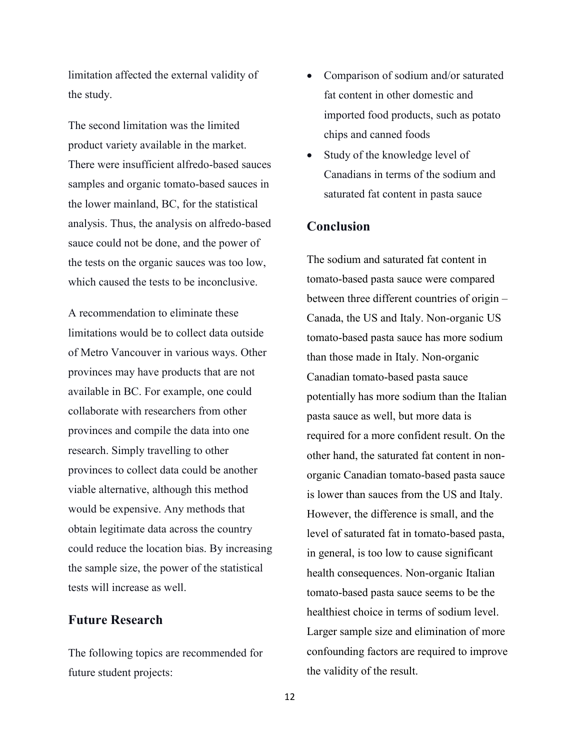limitation affected the external validity of the study.

The second limitation was the limited product variety available in the market. There were insufficient alfredo-based sauces samples and organic tomato-based sauces in the lower mainland, BC, for the statistical analysis. Thus, the analysis on alfredo-based sauce could not be done, and the power of the tests on the organic sauces was too low, which caused the tests to be inconclusive.

A recommendation to eliminate these limitations would be to collect data outside of Metro Vancouver in various ways. Other provinces may have products that are not available in BC. For example, one could collaborate with researchers from other provinces and compile the data into one research. Simply travelling to other provinces to collect data could be another viable alternative, although this method would be expensive. Any methods that obtain legitimate data across the country could reduce the location bias. By increasing the sample size, the power of the statistical tests will increase as well.

## **Future Research**

The following topics are recommended for future student projects:

- Comparison of sodium and/or saturated fat content in other domestic and imported food products, such as potato chips and canned foods
- Study of the knowledge level of Canadians in terms of the sodium and saturated fat content in pasta sauce

## **Conclusion**

The sodium and saturated fat content in tomato-based pasta sauce were compared between three different countries of origin – Canada, the US and Italy. Non-organic US tomato-based pasta sauce has more sodium than those made in Italy. Non-organic Canadian tomato-based pasta sauce potentially has more sodium than the Italian pasta sauce as well, but more data is required for a more confident result. On the other hand, the saturated fat content in nonorganic Canadian tomato-based pasta sauce is lower than sauces from the US and Italy. However, the difference is small, and the level of saturated fat in tomato-based pasta, in general, is too low to cause significant health consequences. Non-organic Italian tomato-based pasta sauce seems to be the healthiest choice in terms of sodium level. Larger sample size and elimination of more confounding factors are required to improve the validity of the result.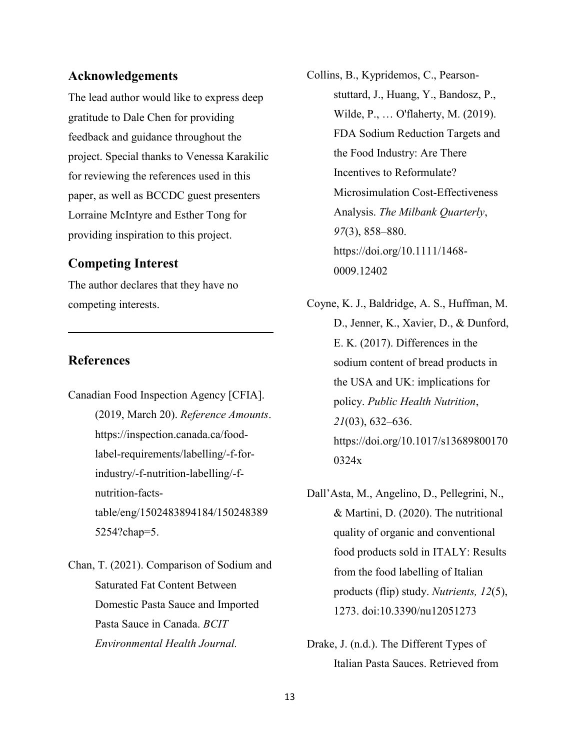## **Acknowledgements**

The lead author would like to express deep gratitude to Dale Chen for providing feedback and guidance throughout the project. Special thanks to Venessa Karakilic for reviewing the references used in this paper, as well as BCCDC guest presenters Lorraine McIntyre and Esther Tong for providing inspiration to this project.

## **Competing Interest**

The author declares that they have no competing interests.

## **References**

- Canadian Food Inspection Agency [CFIA]. (2019, March 20). *Reference Amounts*. https://inspection.canada.ca/foodlabel-requirements/labelling/-f-forindustry/-f-nutrition-labelling/-fnutrition-factstable/eng/1502483894184/150248389 5254?chap=5.
- Chan, T. (2021). Comparison of Sodium and Saturated Fat Content Between Domestic Pasta Sauce and Imported Pasta Sauce in Canada. *BCIT Environmental Health Journal.*
- Collins, B., Kypridemos, C., Pearsonstuttard, J., Huang, Y., Bandosz, P., Wilde, P., … O'flaherty, M. (2019). FDA Sodium Reduction Targets and the Food Industry: Are There Incentives to Reformulate? Microsimulation Cost-Effectiveness Analysis. *The Milbank Quarterly*, *97*(3), 858–880. https://doi.org/10.1111/1468- 0009.12402
- Coyne, K. J., Baldridge, A. S., Huffman, M. D., Jenner, K., Xavier, D., & Dunford, E. K. (2017). Differences in the sodium content of bread products in the USA and UK: implications for policy. *Public Health Nutrition*, *21*(03), 632–636. https://doi.org/10.1017/s13689800170 0324x
- Dall'Asta, M., Angelino, D., Pellegrini, N., & Martini, D. (2020). The nutritional quality of organic and conventional food products sold in ITALY: Results from the food labelling of Italian products (flip) study. *Nutrients, 12*(5), 1273. doi:10.3390/nu12051273
- Drake, J. (n.d.). The Different Types of Italian Pasta Sauces. Retrieved from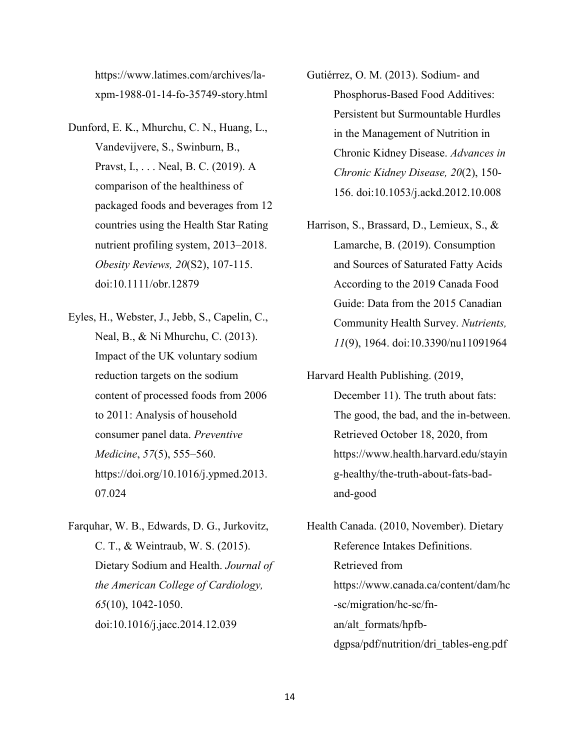https://www.latimes.com/archives/laxpm-1988-01-14-fo-35749-story.html

- Dunford, E. K., Mhurchu, C. N., Huang, L., Vandevijvere, S., Swinburn, B., Pravst, I., . . . Neal, B. C. (2019). A comparison of the healthiness of packaged foods and beverages from 12 countries using the Health Star Rating nutrient profiling system, 2013–2018. *Obesity Reviews, 20*(S2), 107-115. doi:10.1111/obr.12879
- Eyles, H., Webster, J., Jebb, S., Capelin, C., Neal, B., & Ni Mhurchu, C. (2013). Impact of the UK voluntary sodium reduction targets on the sodium content of processed foods from 2006 to 2011: Analysis of household consumer panel data. *Preventive Medicine*, *57*(5), 555–560. https://doi.org/10.1016/j.ypmed.2013. 07.024
- Farquhar, W. B., Edwards, D. G., Jurkovitz, C. T., & Weintraub, W. S. (2015). Dietary Sodium and Health. *Journal of the American College of Cardiology, 65*(10), 1042-1050. doi:10.1016/j.jacc.2014.12.039
- Gutiérrez, O. M. (2013). Sodium- and Phosphorus-Based Food Additives: Persistent but Surmountable Hurdles in the Management of Nutrition in Chronic Kidney Disease. *Advances in Chronic Kidney Disease, 20*(2), 150- 156. doi:10.1053/j.ackd.2012.10.008
- Harrison, S., Brassard, D., Lemieux, S., & Lamarche, B. (2019). Consumption and Sources of Saturated Fatty Acids According to the 2019 Canada Food Guide: Data from the 2015 Canadian Community Health Survey. *Nutrients, 11*(9), 1964. doi:10.3390/nu11091964
- Harvard Health Publishing. (2019, December 11). The truth about fats: The good, the bad, and the in-between. Retrieved October 18, 2020, from https://www.health.harvard.edu/stayin g-healthy/the-truth-about-fats-badand-good

Health Canada. (2010, November). Dietary Reference Intakes Definitions. Retrieved from https://www.canada.ca/content/dam/hc -sc/migration/hc-sc/fnan/alt\_formats/hpfbdgpsa/pdf/nutrition/dri\_tables-eng.pdf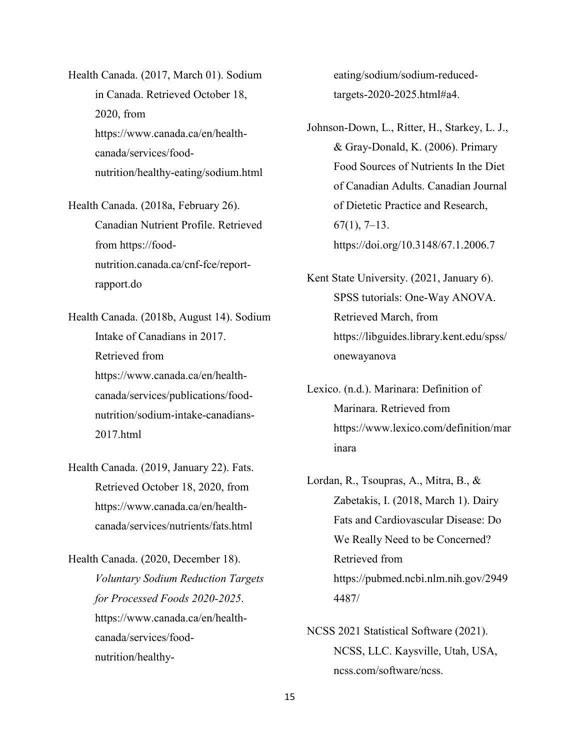Health Canada. (2017, March 01). Sodium in Canada. Retrieved October 18, 2020, from [https://www.canada.ca/en/health](https://www.canada.ca/en/health-canada/services/food-nutrition/healthy-eating/sodium.html)[canada/services/food](https://www.canada.ca/en/health-canada/services/food-nutrition/healthy-eating/sodium.html)[nutrition/healthy-eating/sodium.html](https://www.canada.ca/en/health-canada/services/food-nutrition/healthy-eating/sodium.html)

Health Canada. (2018a, February 26). Canadian Nutrient Profile. Retrieved from https://foodnutrition.canada.ca/cnf-fce/reportrapport.do

Health Canada. (2018b, August 14). Sodium Intake of Canadians in 2017. Retrieved from https://www.canada.ca/en/healthcanada/services/publications/foodnutrition/sodium-intake-canadians-2017.html

- Health Canada. (2019, January 22). Fats. Retrieved October 18, 2020, from [https://www.canada.ca/en/health](https://www.canada.ca/en/health-canada/services/nutrients/fats.html)[canada/services/nutrients/fats.html](https://www.canada.ca/en/health-canada/services/nutrients/fats.html)
- Health Canada. (2020, December 18). *Voluntary Sodium Reduction Targets for Processed Foods 2020-2025*. https://www.canada.ca/en/healthcanada/services/foodnutrition/healthy-

eating/sodium/sodium-reducedtargets-2020-2025.html#a4.

- Johnson-Down, L., Ritter, H., Starkey, L. J., & Gray-Donald, K. (2006). Primary Food Sources of Nutrients In the Diet of Canadian Adults. Canadian Journal of Dietetic Practice and Research,  $67(1)$ ,  $7-13$ . https://doi.org/10.3148/67.1.2006.7
- Kent State University. (2021, January 6). SPSS tutorials: One-Way ANOVA. Retrieved March, from https://libguides.library.kent.edu/spss/ onewayanova
- Lexico. (n.d.). Marinara: Definition of Marinara. Retrieved from https://www.lexico.com/definition/mar inara
- Lordan, R., Tsoupras, A., Mitra, B., & Zabetakis, I. (2018, March 1). Dairy Fats and Cardiovascular Disease: Do We Really Need to be Concerned? Retrieved from [https://pubmed.ncbi.nlm.nih.gov/2949](https://pubmed.ncbi.nlm.nih.gov/29494487/) [4487/](https://pubmed.ncbi.nlm.nih.gov/29494487/)
- NCSS 2021 Statistical Software (2021). NCSS, LLC. Kaysville, Utah, USA, ncss.com/software/ncss.